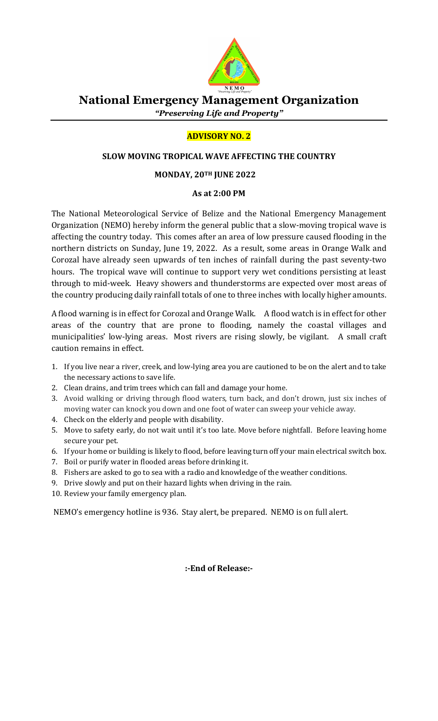

# National Emergency Management Organization "Preserving Life and Property"

## ADVISORY NO. 2

### SLOW MOVING TROPICAL WAVE AFFECTING THE COUNTRY

#### MONDAY, 20TH JUNE 2022

#### As at 2:00 PM

The National Meteorological Service of Belize and the National Emergency Management Organization (NEMO) hereby inform the general public that a slow-moving tropical wave is affecting the country today. This comes after an area of low pressure caused flooding in the northern districts on Sunday, June 19, 2022. As a result, some areas in Orange Walk and Corozal have already seen upwards of ten inches of rainfall during the past seventy-two hours. The tropical wave will continue to support very wet conditions persisting at least through to mid-week. Heavy showers and thunderstorms are expected over most areas of the country producing daily rainfall totals of one to three inches with locally higher amounts.

A flood warning is in effect for Corozal and Orange Walk. A flood watch is in effect for other areas of the country that are prone to flooding, namely the coastal villages and municipalities' low-lying areas. Most rivers are rising slowly, be vigilant. A small craft caution remains in effect.

- 1. If you live near a river, creek, and low-lying area you are cautioned to be on the alert and to take the necessary actions to save life.
- 2. Clean drains, and trim trees which can fall and damage your home.
- 3. Avoid walking or driving through flood waters, turn back, and don't drown, just six inches of moving water can knock you down and one foot of water can sweep your vehicle away.
- 4. Check on the elderly and people with disability.
- 5. Move to safety early, do not wait until it's too late. Move before nightfall. Before leaving home secure your pet.
- 6. If your home or building is likely to flood, before leaving turn off your main electrical switch box.
- 7. Boil or purify water in flooded areas before drinking it.
- 8. Fishers are asked to go to sea with a radio and knowledge of the weather conditions.
- 9. Drive slowly and put on their hazard lights when driving in the rain.
- 10. Review your family emergency plan.

NEMO's emergency hotline is 936. Stay alert, be prepared. NEMO is on full alert.

:-End of Release:-